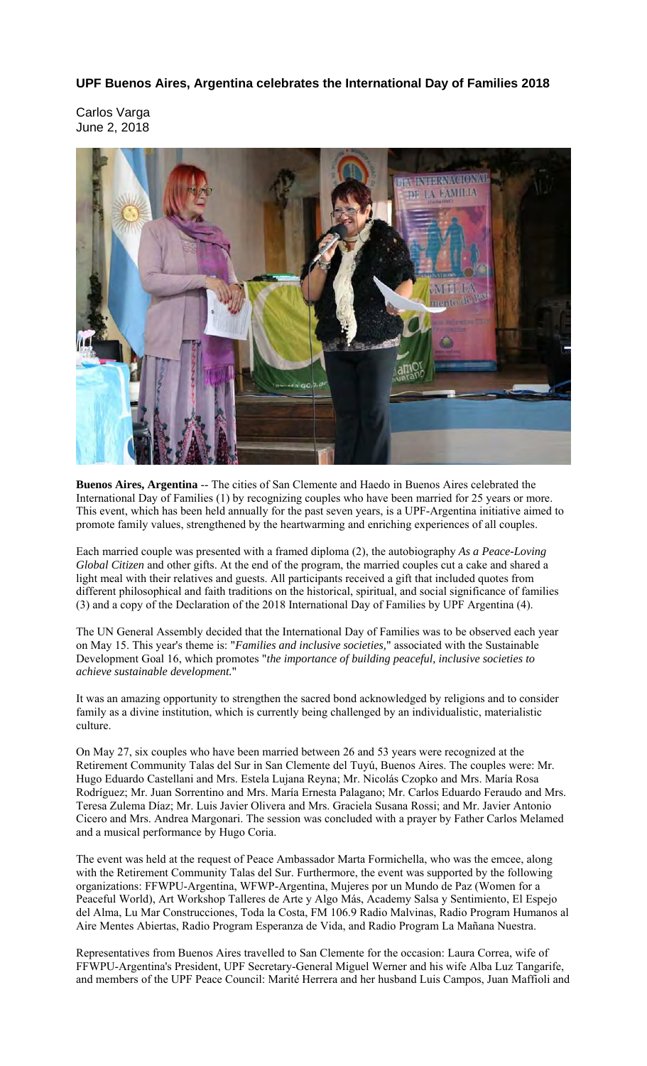**UPF Buenos Aires, Argentina celebrates the International Day of Families 2018**

Carlos Varga June 2, 2018



**Buenos Aires, Argentina** -- The cities of San Clemente and Haedo in Buenos Aires celebrated the International Day of Families (1) by recognizing couples who have been married for 25 years or more. This event, which has been held annually for the past seven years, is a UPF-Argentina initiative aimed to promote family values, strengthened by the heartwarming and enriching experiences of all couples.

Each married couple was presented with a framed diploma (2), the autobiography *As a Peace-Loving Global Citizen* and other gifts. At the end of the program, the married couples cut a cake and shared a light meal with their relatives and guests. All participants received a gift that included quotes from different philosophical and faith traditions on the historical, spiritual, and social significance of families (3) and a copy of the Declaration of the 2018 International Day of Families by UPF Argentina (4).

The UN General Assembly decided that the International Day of Families was to be observed each year on May 15. This year's theme is: "*Families and inclusive societies,*" associated with the Sustainable Development Goal 16, which promotes "*the importance of building peaceful, inclusive societies to achieve sustainable development.*"

It was an amazing opportunity to strengthen the sacred bond acknowledged by religions and to consider family as a divine institution, which is currently being challenged by an individualistic, materialistic culture.

On May 27, six couples who have been married between 26 and 53 years were recognized at the Retirement Community Talas del Sur in San Clemente del Tuyú, Buenos Aires. The couples were: Mr. Hugo Eduardo Castellani and Mrs. Estela Lujana Reyna; Mr. Nicolás Czopko and Mrs. María Rosa Rodríguez; Mr. Juan Sorrentino and Mrs. María Ernesta Palagano; Mr. Carlos Eduardo Feraudo and Mrs. Teresa Zulema Díaz; Mr. Luis Javier Olivera and Mrs. Graciela Susana Rossi; and Mr. Javier Antonio Cicero and Mrs. Andrea Margonari. The session was concluded with a prayer by Father Carlos Melamed and a musical performance by Hugo Coria.

The event was held at the request of Peace Ambassador Marta Formichella, who was the emcee, along with the Retirement Community Talas del Sur. Furthermore, the event was supported by the following organizations: FFWPU-Argentina, WFWP-Argentina, Mujeres por un Mundo de Paz (Women for a Peaceful World), Art Workshop Talleres de Arte y Algo Más, Academy Salsa y Sentimiento, El Espejo del Alma, Lu Mar Construcciones, Toda la Costa, FM 106.9 Radio Malvinas, Radio Program Humanos al Aire Mentes Abiertas, Radio Program Esperanza de Vida, and Radio Program La Mañana Nuestra.

Representatives from Buenos Aires travelled to San Clemente for the occasion: Laura Correa, wife of FFWPU-Argentina's President, UPF Secretary-General Miguel Werner and his wife Alba Luz Tangarife, and members of the UPF Peace Council: Marité Herrera and her husband Luis Campos, Juan Maffioli and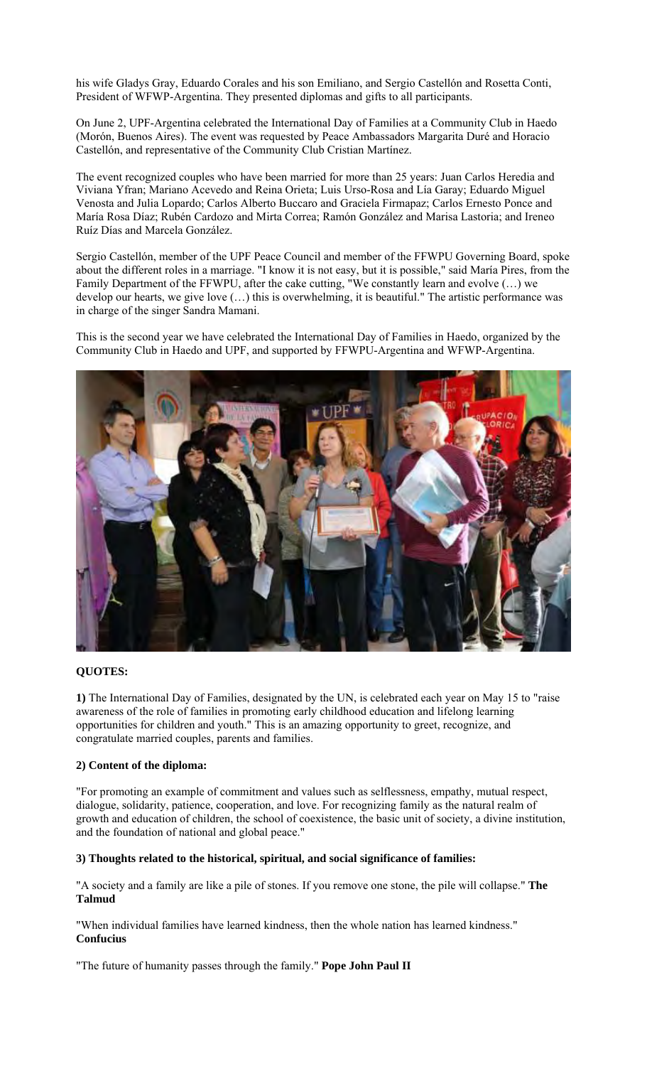his wife Gladys Gray, Eduardo Corales and his son Emiliano, and Sergio Castellón and Rosetta Conti, President of WFWP-Argentina. They presented diplomas and gifts to all participants.

On June 2, UPF-Argentina celebrated the International Day of Families at a Community Club in Haedo (Morón, Buenos Aires). The event was requested by Peace Ambassadors Margarita Duré and Horacio Castellón, and representative of the Community Club Cristian Martínez.

The event recognized couples who have been married for more than 25 years: Juan Carlos Heredia and Viviana Yfran; Mariano Acevedo and Reina Orieta; Luis Urso-Rosa and Lía Garay; Eduardo Miguel Venosta and Julia Lopardo; Carlos Alberto Buccaro and Graciela Firmapaz; Carlos Ernesto Ponce and María Rosa Díaz; Rubén Cardozo and Mirta Correa; Ramón González and Marisa Lastoria; and Ireneo Ruíz Días and Marcela González.

Sergio Castellón, member of the UPF Peace Council and member of the FFWPU Governing Board, spoke about the different roles in a marriage. "I know it is not easy, but it is possible," said María Pires, from the Family Department of the FFWPU, after the cake cutting, "We constantly learn and evolve (…) we develop our hearts, we give love (…) this is overwhelming, it is beautiful." The artistic performance was in charge of the singer Sandra Mamani.

This is the second year we have celebrated the International Day of Families in Haedo, organized by the Community Club in Haedo and UPF, and supported by FFWPU-Argentina and WFWP-Argentina.



## **QUOTES:**

**1)** The International Day of Families, designated by the UN, is celebrated each year on May 15 to "raise awareness of the role of families in promoting early childhood education and lifelong learning opportunities for children and youth." This is an amazing opportunity to greet, recognize, and congratulate married couples, parents and families.

## **2) Content of the diploma:**

"For promoting an example of commitment and values such as selflessness, empathy, mutual respect, dialogue, solidarity, patience, cooperation, and love. For recognizing family as the natural realm of growth and education of children, the school of coexistence, the basic unit of society, a divine institution, and the foundation of national and global peace."

## **3) Thoughts related to the historical, spiritual, and social significance of families:**

"A society and a family are like a pile of stones. If you remove one stone, the pile will collapse." **The Talmud**

"When individual families have learned kindness, then the whole nation has learned kindness." **Confucius**

"The future of humanity passes through the family." **Pope John Paul II**